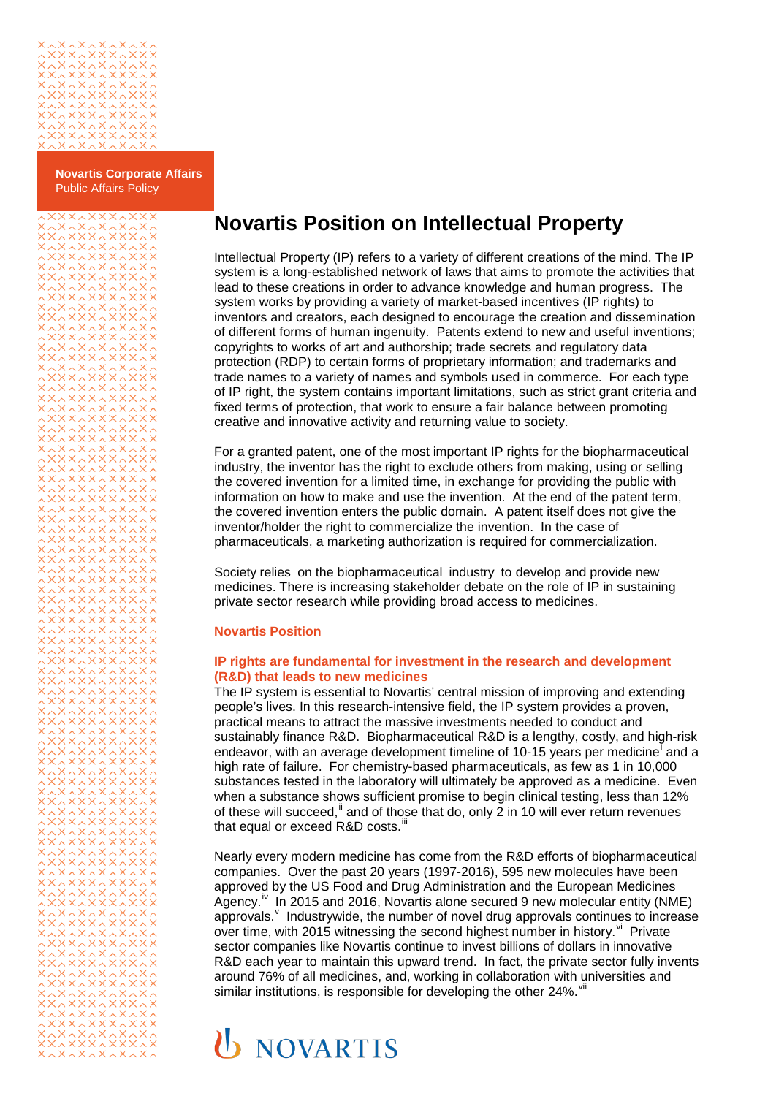

**Novartis Corporate Affairs** Public Affairs Policy

**XXAXXXAXXX** 

# **Novartis Position on Intellectual Property**

Intellectual Property (IP) refers to a variety of different creations of the mind. The IP system is a long-established network of laws that aims to promote the activities that lead to these creations in order to advance knowledge and human progress. The system works by providing a variety of market-based incentives (IP rights) to inventors and creators, each designed to encourage the creation and dissemination of different forms of human ingenuity. Patents extend to new and useful inventions; copyrights to works of art and authorship; trade secrets and regulatory data protection (RDP) to certain forms of proprietary information; and trademarks and trade names to a variety of names and symbols used in commerce. For each type of IP right, the system contains important limitations, such as strict grant criteria and fixed terms of protection, that work to ensure a fair balance between promoting creative and innovative activity and returning value to society.

For a granted patent, one of the most important IP rights for the biopharmaceutical industry, the inventor has the right to exclude others from making, using or selling the covered invention for a limited time, in exchange for providing the public with information on how to make and use the invention. At the end of the patent term, the covered invention enters the public domain. A patent itself does not give the inventor/holder the right to commercialize the invention. In the case of pharmaceuticals, a marketing authorization is required for commercialization.

Society relies on the biopharmaceutical industry to develop and provide new medicines. There is increasing stakeholder debate on the role of IP in sustaining private sector research while providing broad access to medicines.

## **Novartis Position**

### **IP rights are fundamental for investment in the research and development (R&D) that leads to new medicines**

The IP system is essential to Novartis' central mission of improving and extending people's lives. In this research-intensive field, the IP system provides a proven, practical means to attract the massive investments needed to conduct and sustainably finance R&D. Biopharmaceutical R&D is a lengthy, costly, and high-risk endeavor, w[i](#page-2-0)th an average development timeline of 10-15 years per medicine<sup>t</sup> and a high rate of failure. For chemistry-based pharmaceuticals, as few as 1 in 10,000 substances tested in the laboratory will ultimately be approved as a medicine. Even when a substance shows sufficient promise to begin clinical testing, less than 12% of these will succeed,<sup>[ii](#page-2-1)</sup> and of those that do, only  $\overline{2}$  in 10 will ever return revenues that equal or exceed R&D costs.<sup>1</sup>

Nearly every modern medicine has come from the R&D efforts of biopharmaceutical companies. Over the past 20 years (1997-2016), 595 new molecules have been approved by the US Food and Drug Administration and the European Medicines Agency.<sup>17</sup> In 2015 and 2016, Novartis alone secured 9 new molecular entity (NME) appro[v](#page-2-4)als. <sup>V</sup> Industrywide, the number of novel drug approvals continues to increase over time, with 2015 witnessing the second highest number in history.  $\mu$  Private sector companies like Novartis continue to invest billions of dollars in innovative R&D each year to maintain this upward trend. In fact, the private sector fully invents around 76% of all medicines, and, working in collaboration with universities and similar institutions, is responsible for developing the other 24%. Vil

# **U** NOVARTIS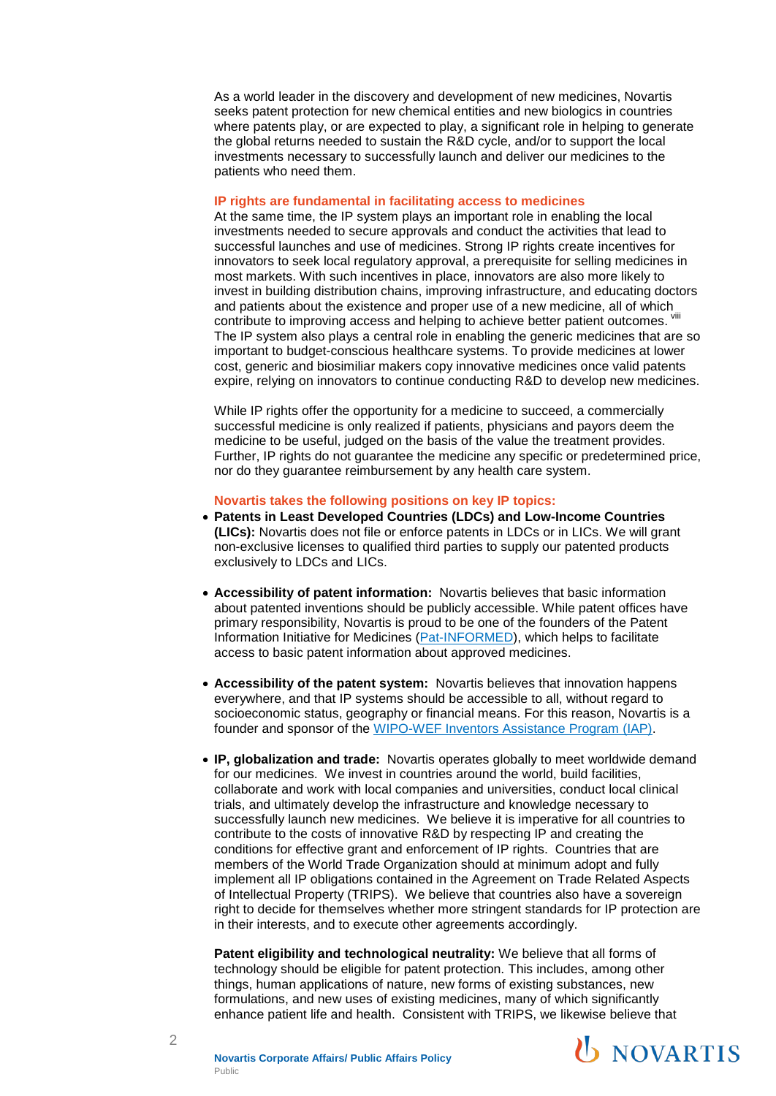As a world leader in the discovery and development of new medicines, Novartis seeks patent protection for new chemical entities and new biologics in countries where patents play, or are expected to play, a significant role in helping to generate the global returns needed to sustain the R&D cycle, and/or to support the local investments necessary to successfully launch and deliver our medicines to the patients who need them.

#### **IP rights are fundamental in facilitating access to medicines**

At the same time, the IP system plays an important role in enabling the local investments needed to secure approvals and conduct the activities that lead to successful launches and use of medicines. Strong IP rights create incentives for innovators to seek local regulatory approval, a prerequisite for selling medicines in most markets. With such incentives in place, innovators are also more likely to invest in building distribution chains, improving infrastructure, and educating doctors and patients about the existence and proper use of a new medicine, all of which contribute to improving access and helping to achieve better patient outcomes. Vill The IP system also plays a central role in enabling the generic medicines that are so important to budget-conscious healthcare systems. To provide medicines at lower cost, generic and biosimiliar makers copy innovative medicines once valid patents expire, relying on innovators to continue conducting R&D to develop new medicines.

While IP rights offer the opportunity for a medicine to succeed, a commercially successful medicine is only realized if patients, physicians and payors deem the medicine to be useful, judged on the basis of the value the treatment provides. Further, IP rights do not guarantee the medicine any specific or predetermined price, nor do they guarantee reimbursement by any health care system.

## **Novartis takes the following positions on key IP topics:**

- **Patents in Least Developed Countries (LDCs) and Low-Income Countries (LICs):** Novartis does not file or enforce patents in LDCs or in LICs. We will grant non-exclusive licenses to qualified third parties to supply our patented products exclusively to LDCs and LICs.
- **Accessibility of patent information:** Novartis believes that basic information about patented inventions should be publicly accessible. While patent offices have primary responsibility, Novartis is proud to be one of the founders of the Patent Information Initiative for Medicines [\(Pat-INFORMED\)](https://www.ifpma.org/wp-content/uploads/2017/09/Pat-INFORMED-backgrounder-FINAL.pdf), which helps to facilitate access to basic patent information about approved medicines.
- **Accessibility of the patent system:** Novartis believes that innovation happens everywhere, and that IP systems should be accessible to all, without regard to socioeconomic status, geography or financial means. For this reason, Novartis is a founder and sponsor of the [WIPO-WEF Inventors Assistance Program \(IAP\).](http://www.wipo.int/iap/en/)
- **IP, globalization and trade:** Novartis operates globally to meet worldwide demand for our medicines. We invest in countries around the world, build facilities, collaborate and work with local companies and universities, conduct local clinical trials, and ultimately develop the infrastructure and knowledge necessary to successfully launch new medicines. We believe it is imperative for all countries to contribute to the costs of innovative R&D by respecting IP and creating the conditions for effective grant and enforcement of IP rights. Countries that are members of the World Trade Organization should at minimum adopt and fully implement all IP obligations contained in the Agreement on Trade Related Aspects of Intellectual Property (TRIPS). We believe that countries also have a sovereign right to decide for themselves whether more stringent standards for IP protection are in their interests, and to execute other agreements accordingly.

**Patent eligibility and technological neutrality:** We believe that all forms of technology should be eligible for patent protection. This includes, among other things, human applications of nature, new forms of existing substances, new formulations, and new uses of existing medicines, many of which significantly enhance patient life and health. Consistent with TRIPS, we likewise believe that